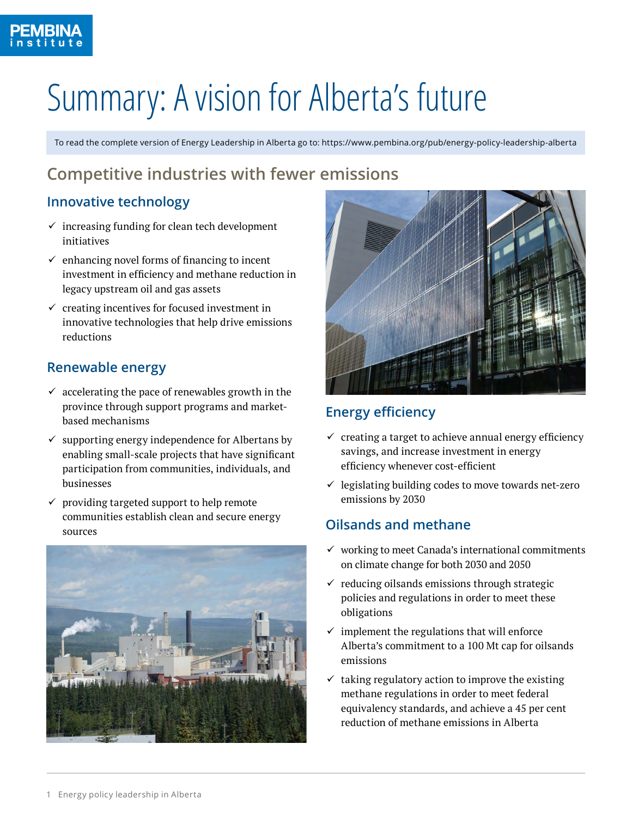# Summary: A vision for Alberta's future

[To read the complete version of Energy Leadership in Alberta go to: https://www.pembina.org/pub/energy-policy-leadership-alberta](https://www.pembina.org/pub/energy-policy-leadership-alberta)

## **Competitive industries with fewer emissions**

## **Innovative technology**

- $\checkmark$  increasing funding for clean tech development initiatives
- $\checkmark$  enhancing novel forms of financing to incent investment in efficiency and methane reduction in legacy upstream oil and gas assets
- $\checkmark$  creating incentives for focused investment in innovative technologies that help drive emissions reductions

## **Renewable energy**

- $\checkmark$  accelerating the pace of renewables growth in the province through support programs and marketbased mechanisms
- $\checkmark$  supporting energy independence for Albertans by enabling small-scale projects that have significant participation from communities, individuals, and businesses
- $\checkmark$  providing targeted support to help remote communities establish clean and secure energy sources





#### **Energy efficiency**

- $\checkmark$  creating a target to achieve annual energy efficiency savings, and increase investment in energy efficiency whenever cost-efficient
- $\checkmark$  legislating building codes to move towards net-zero emissions by 2030

## **Oilsands and methane**

- $\checkmark$  working to meet Canada's international commitments on climate change for both 2030 and 2050
- $\checkmark$  reducing oilsands emissions through strategic policies and regulations in order to meet these obligations
- $\checkmark$  implement the regulations that will enforce Alberta's commitment to a 100 Mt cap for oilsands emissions
- $\checkmark$  taking regulatory action to improve the existing methane regulations in order to meet federal equivalency standards, and achieve a 45 per cent reduction of methane emissions in Alberta